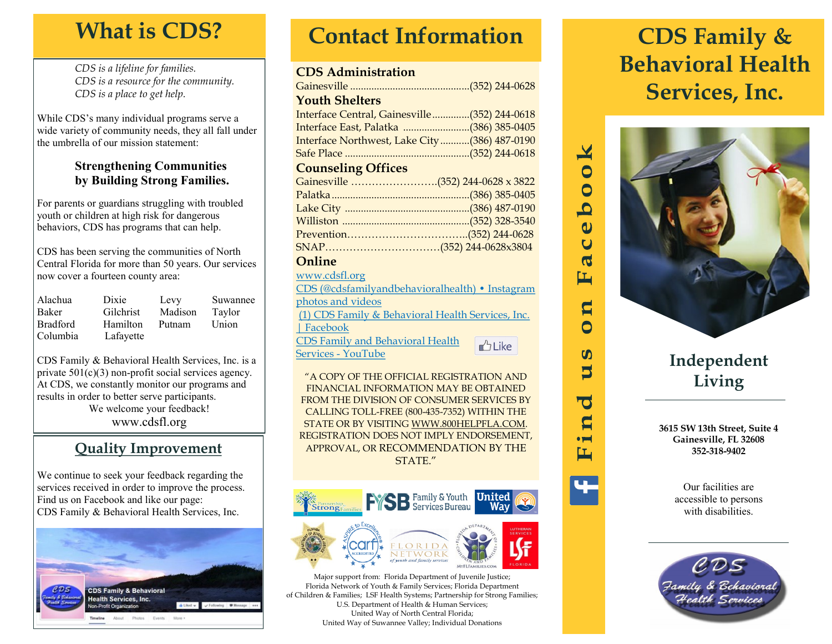# **What is CDS?**

*CDS is a lifeline for families. CDS is a resource for the community. CDS is a place to get help.*

While CDS's many individual programs serve a wide variety of community needs, they all fall under the umbrella of our mission statement:

### **Strengthening Communities by Building Strong Families.**

For parents or guardians struggling with troubled youth or children at high risk for dangerous behaviors, CDS has programs that can help.

CDS has been serving the communities of North Central Florida for more than 50 years. Our services now cover a fourteen county area:

| Alachua         | Dixie     | Levy    | Suwannee |
|-----------------|-----------|---------|----------|
| Baker           | Gilchrist | Madison | Taylor   |
| <b>Bradford</b> | Hamilton  | Putnam  | Union    |
| Columbia        | Lafayette |         |          |

CDS Family & Behavioral Health Services, Inc. is a private  $501(c)(3)$  non-profit social services agency. At CDS, we constantly monitor our programs and results in order to better serve participants. We welcome your feedback! www.cdsfl.org

### **Quality Improvement**

We continue to seek your feedback regarding the services received in order to improve the process. Find us on Facebook and like our page: CDS Family & Behavioral Health Services, Inc.



# **Contact Information**

### **CDS Administration**

| <b>Youth Shelters</b>                           |  |  |  |  |
|-------------------------------------------------|--|--|--|--|
| Interface Central, Gainesville(352) 244-0618    |  |  |  |  |
| Interface East, Palatka (386) 385-0405          |  |  |  |  |
| Interface Northwest, Lake City(386) 487-0190    |  |  |  |  |
|                                                 |  |  |  |  |
| <b>Counseling Offices</b>                       |  |  |  |  |
| Gainesville (352) 244-0628 x 3822               |  |  |  |  |
|                                                 |  |  |  |  |
|                                                 |  |  |  |  |
|                                                 |  |  |  |  |
|                                                 |  |  |  |  |
|                                                 |  |  |  |  |
| Online                                          |  |  |  |  |
| www.cdsfl.org                                   |  |  |  |  |
| CDS (@cdsfamilyandbehavioralhealth) · Instagram |  |  |  |  |
| photos and videos                               |  |  |  |  |
|                                                 |  |  |  |  |

[\(1\) CDS Family & Behavioral Health Services, Inc.](https://www.facebook.com/CDSFamily)  [| Facebook](https://www.facebook.com/CDSFamily) [CDS Family and Behavioral Health](https://www.youtube.com/channel/UCQHtxshi6U3T1YheFQimrsA)   $<sup>A</sup>$ Like</sup> [Services -](https://www.youtube.com/channel/UCQHtxshi6U3T1YheFQimrsA) YouTube

"A COPY OF THE OFFICIAL REGISTRATION AND FINANCIAL INFORMATION MAY BE OBTAINED FROM THE DIVISION OF CONSUMER SERVICES BY CALLING TOLL-FREE (800-435-7352) WITHIN THE STATE OR BY VISITING WWW.800HELPFLA.COM. REGISTRATION DOES NOT IMPLY ENDORSEMENT, APPROVAL, OR RECOMMENDATION BY THE STATE."



Major support from: Florida Department of Juvenile Justice; Florida Network of Youth & Family Services; Florida Department of Children & Families; LSF Health Systems; Partnership for Strong Families; U.S. Department of Health & Human Services; United Way of North Central Florida; United Way of Suwannee Valley; Individual Donations

# **CDS Family & Behavioral Health Services, Inc.**



 $\mathbf{X}$ C C q  $\omega$  $\overline{\mathbf{C}}$  $\mathbf \sigma$ 匞

> $\mathbf{a}$  $\overline{\mathsf{C}}$

> $\boldsymbol{\omega}$ J

 $\overline{\textbf{C}}$ C  $\bullet$ 工

## **Independent Living**

**3615 SW 13th Street, Suite 4 Gainesville, FL 32608 352-318-9402**

> Our facilities are accessible to persons with disabilities.